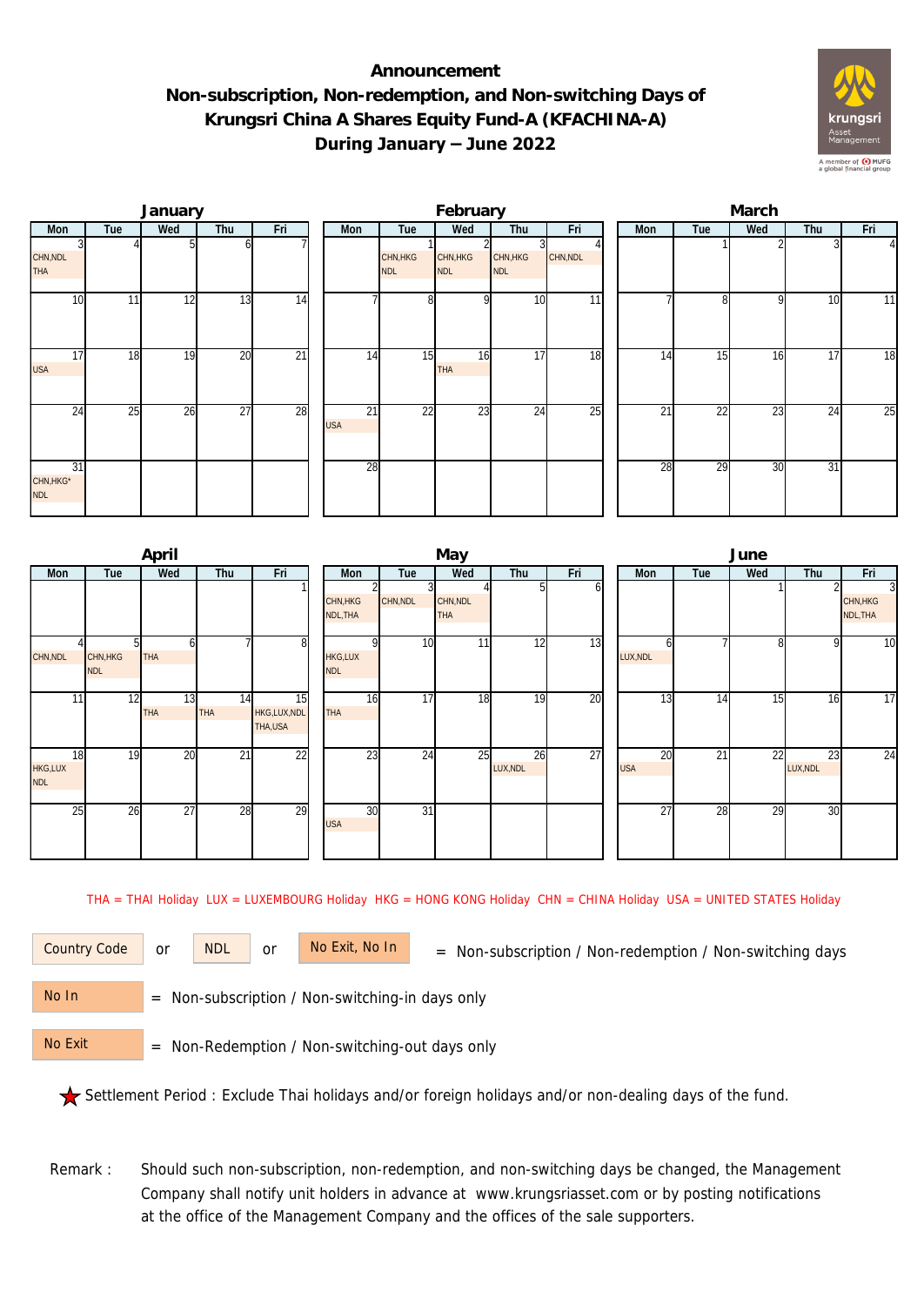## **Announcement Non-subscription, Non-redemption, and Non-switching Days of Krungsri China A Shares Equity Fund-A (KFACHINA-A) During January – June 2022**



|                               |     | January |     |                 |                  |                        | February               |                        |          | March |     |          |                 |     |  |  |
|-------------------------------|-----|---------|-----|-----------------|------------------|------------------------|------------------------|------------------------|----------|-------|-----|----------|-----------------|-----|--|--|
| Mon                           | Tue | Wed     | Thu | Fri             | Mon              | Tue                    | Wed                    | Thu                    | Fri      | Mon   | Tue | Wed      | Thu             | Fri |  |  |
| CHN, NDL<br><b>THA</b>        |     |         |     |                 |                  | CHN, HKG<br><b>NDL</b> | CHN, HKG<br><b>NDL</b> | CHN, HKG<br><b>NDL</b> | CHN, NDL |       |     |          |                 |     |  |  |
| 10                            | 11  | 12      | 13  | 14              |                  | 8 <sup>1</sup>         | $\Omega$               | 10                     | 11       |       | 81  | $\Omega$ | 10              | 11  |  |  |
| 17<br><b>USA</b>              | 18  | 19      | 20  | $\overline{21}$ | 14               | 15                     | 16<br><b>THA</b>       | 17                     | 18       | 14    | 15  | 16       | 17              | 18  |  |  |
| 24                            | 25  | 26      | 27  | 28              | 21<br><b>USA</b> | 22                     | 23                     | 24                     | 25       | 21    | 22  | 23       | 24              | 25  |  |  |
| 31<br>CHN, HKG*<br><b>NDL</b> |     |         |     |                 | 28               |                        |                        |                        |          | 28    | 29  | 30       | $\overline{31}$ |     |  |  |

|                                    | April                 |           |                              | May                          |                 |                        |                |     |  |                  | June            |              |                |                                        |  |  |
|------------------------------------|-----------------------|-----------|------------------------------|------------------------------|-----------------|------------------------|----------------|-----|--|------------------|-----------------|--------------|----------------|----------------------------------------|--|--|
| Tue<br>Mon                         | Wed                   | Thu       | Fri                          | Mon                          | Tue             | Wed                    | Thu            | Fri |  | Mon              | Tue             | Wed          | Thu            | Fri                                    |  |  |
|                                    |                       |           |                              | CHN, HKG<br>NDL, THA         | CHN, NDL        | CHN, NDL<br><b>THA</b> |                | O   |  |                  |                 |              |                | $\overline{3}$<br>CHN, HKG<br>NDL, THA |  |  |
| CHN, NDL<br>CHN, HKG<br><b>NDL</b> | b<br><b>THA</b>       |           | 8                            | <b>HKG,LUX</b><br><b>NDL</b> | 10              | 11                     | 12             | 13  |  | h<br>LUX, NDL    |                 | $\mathsf{R}$ | <sub>0</sub>   | $\overline{10}$                        |  |  |
| 12<br>11                           | 13<br><b>THA</b>      | 14<br>THA | 15<br>HKG,LUX,NDL<br>THA,USA | 16<br><b>THA</b>             | $\overline{17}$ | 18                     | 19             | 20  |  | $1\overline{3}$  | 14              | 15           | 16             | $\overline{17}$                        |  |  |
| 18<br>HKG,LUX<br><b>NDL</b>        | $\overline{20}$<br>19 | 21        | 22                           | $2\overline{3}$              | 24              | 25                     | 26<br>LUX, NDL | 27  |  | 20<br><b>USA</b> | $2\overline{1}$ | 22           | 23<br>LUX, NDL | $\overline{24}$                        |  |  |
| 25                                 | 27<br>26              | 28        | 29                           | 30<br><b>USA</b>             | 31              |                        |                |     |  | 27               | 28              | 29           | 30             |                                        |  |  |

THA = THAI Holiday LUX = LUXEMBOURG Holiday HKG = HONG KONG Holiday CHN = CHINA Holiday USA = UNITED STATES Holiday

or NDL or

Country Code or NDL or No Exit, No In = Non-subscription / Non-redemption / Non-switching days

 = Non-subscription / Non-switching-in days only No In

 = Non-Redemption / Non-switching-out days only No Exit

Settlement Period : Exclude Thai holidays and/or foreign holidays and/or non-dealing days of the fund.

Remark : Should such non-subscription, non-redemption, and non-switching days be changed, the Management Company shall notify unit holders in advance at www.krungsriasset.com or by posting notifications at the office of the Management Company and the offices of the sale supporters.